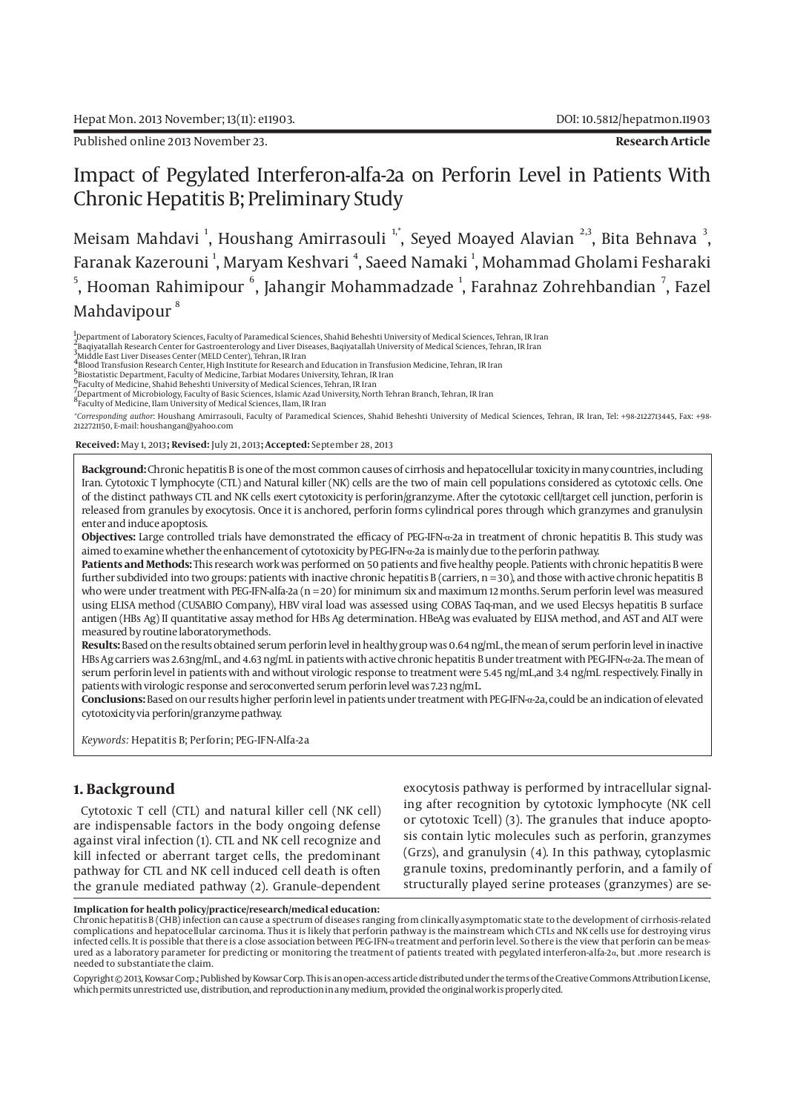# Impact of Pegylated Interferon-alfa-2a on Perforin Level in Patients With Chronic Hepatitis B; Preliminary Study

Meisam Mahdavi <sup>1</sup>, Houshang Amirrasouli <sup>1,\*</sup>, Seyed Moayed Alavian <sup>2,3</sup>, Bita Behnava <sup>3</sup>, Faranak Kazerouni <sup>1</sup>, Maryam Keshvari <sup>4</sup>, Saeed Namaki <sup>1</sup>, Mohammad Gholami Fesharaki  $^5$ , Hooman Rahimipour  $^6$ , Jahangir Mohammadzade  $^1$ , Farahnaz Zohrehbandian  $^7$ , Fazel Mahdavipour<sup>8</sup>

1<br>"Department of Laboratory Sciences, Faculty of Paramedical Sciences, Shahid Beheshti University of Medical Sciences, Tehran, IR Iran

2-<br>2 Baqiyatallah Research Center for Gastroenterology and Liver Diseases, Baqiyatallah University of Medical Sciences, Tehran, IR Iran<br>3 Middle East Liver Diseases Center (MELD Center), Tehran, IR Iran

<sup>9</sup>Middle East Liver Diseases Center (MELD Center), Tehran, IR Iran<br><sup>4</sup>Blood Transfusion Research Center, High Institute for Research and Education in Transfusion Medicine, Tehran, IR Iran<br><sup>5</sup>Blootatistic Department, Facul

8Faculty of Medicine, Ilam University of Medical Sciences, Ilam, IR Iran

*\*Corresponding author*: Houshang Amirrasouli, Faculty of Paramedical Sciences, Shahid Beheshti University of Medical Sciences, Tehran, IR Iran, Tel: +98-2122713445, Fax: +98- 2122721150, E-mail: houshangan@yahoo.com

 **Received:** May 1, 2013**; Revised:** July 21, 2013**; Accepted:** September 28, 2013

**Background:** Chronic hepatitis B is one of the most common causes of cirrhosis and hepatocellular toxicity in many countries, including Iran. Cytotoxic T lymphocyte (CTL) and Natural killer (NK) cells are the two of main cell populations considered as cytotoxic cells. One of the distinct pathways CTL and NK cells exert cytotoxicity is perforin/granzyme. After the cytotoxic cell/target cell junction, perforin is released from granules by exocytosis. Once it is anchored, perforin forms cylindrical pores through which granzymes and granulysin enter and induce apoptosis.

**Objectives:** Large controlled trials have demonstrated the efficacy of PEG-IFN-α-2a in treatment of chronic hepatitis B. This study was aimed to examine whether the enhancement of cytotoxicity by PEG-IFN-α-2a is mainly due to the perforin pathway.

**Patients and Methods:** This research work was performed on 50 patients and five healthy people. Patients with chronic hepatitis B were further subdivided into two groups: patients with inactive chronic hepatitis B (carriers,  $n = 30$ ), and those with active chronic hepatitis B who were under treatment with PEG-IFN-alfa-2a ( $n = 20$ ) for minimum six and maximum 12 months. Serum perforin level was measured using ELISA method (CUSABIO Company), HBV viral load was assessed using COBAS Taq-man, and we used Elecsys hepatitis B surface antigen (HBs Ag) II quantitative assay method for HBs Ag determination. HBeAg was evaluated by ELISA method, and AST and ALT were measured by routine laboratorymethods.

**Results:** Based on the results obtained serum perforin level in healthy group was 0.64 ng/mL, the mean of serum perforin level in inactive HBs Ag carriers was 2.63ng/mL, and 4.63 ng/mL in patients with active chronic hepatitis B under treatment with PEG-IFN-α-2a. The mean of serum perforin level in patients with and without virologic response to treatment were 5.45 ng/mL,and 3.4 ng/mL respectively. Finally in patients with virologic response and seroconverted serum perforin level was 7.23 ng/mL.

**Conclusions:** Based on our results higher perforin level in patients under treatment with PEG-IFN-α-2a, could be an indication of elevated cytotoxicity via perforin/granzyme pathway.

*Keywords:* Hepatitis B; Perforin; PEG-IFN-Alfa-2a

# **1. Background**

Cytotoxic T cell (CTL) and natural killer cell (NK cell) are indispensable factors in the body ongoing defense against viral infection (1). CTL and NK cell recognize and kill infected or aberrant target cells, the predominant pathway for CTL and NK cell induced cell death is often the granule mediated pathway (2). Granule–dependent

exocytosis pathway is performed by intracellular signaling after recognition by cytotoxic lymphocyte (NK cell or cytotoxic Tcell) (3). The granules that induce apoptosis contain lytic molecules such as perforin, granzymes (Grzs), and granulysin (4). In this pathway, cytoplasmic granule toxins, predominantly perforin, and a family of structurally played serine proteases (granzymes) are se-

#### **Implication for health policy/practice/research/medical education:**

Copyright © 2013, Kowsar Corp.; Published by Kowsar Corp. This is an open-access article distributed under the terms of the Creative Commons Attribution License, which permits unrestricted use, distribution, and reproduction in any medium, provided the original work is properly cited.

Chronic hepatitis B (CHB) infection can cause a spectrum of diseases ranging from clinically asymptomatic state to the development of cirrhosis-related complications and hepatocellular carcinoma. Thus it is likely that perforin pathway is the mainstream which CTLs and NK cells use for destroying virus infected cells. It is possible that there is a close association between PEG-IFN-α treatment and perforin level. So there is the view that perforin can be measured as a laboratory parameter for predicting or monitoring the treatment of patients treated with pegylated interferon-alfa-2α, but .more research is needed to substantiate the claim.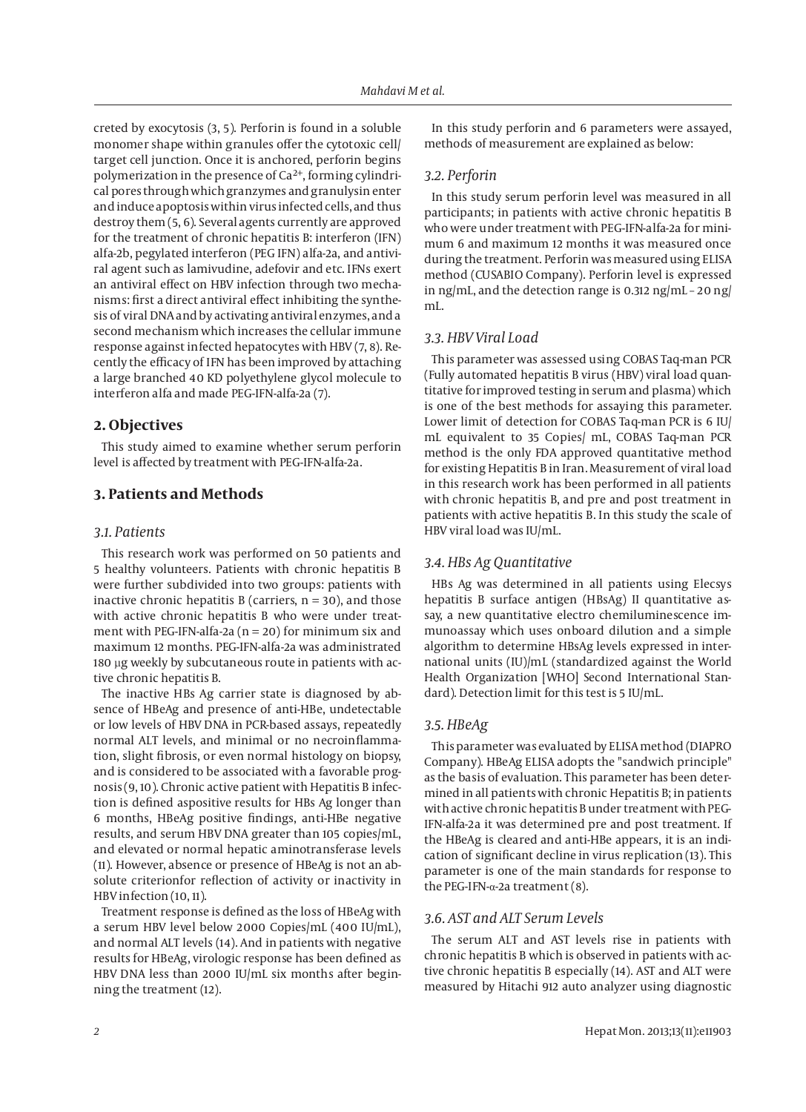creted by exocytosis (3, 5). Perforin is found in a soluble monomer shape within granules offer the cytotoxic cell/ target cell junction. Once it is anchored, perforin begins polymerization in the presence of  $Ca^{2+}$ , forming cylindrical pores through which granzymes and granulysin enter and induce apoptosis within virus infected cells, and thus destroy them (5, 6). Several agents currently are approved for the treatment of chronic hepatitis B: interferon (IFN) alfa-2b, pegylated interferon (PEG IFN) alfa-2a, and antiviral agent such as lamivudine, adefovir and etc. IFNs exert an antiviral effect on HBV infection through two mechanisms: first a direct antiviral effect inhibiting the synthesis of viral DNA and by activating antiviral enzymes, and a second mechanism which increases the cellular immune response against infected hepatocytes with HBV (7, 8). Recently the efficacy of IFN has been improved by attaching a large branched 40 KD polyethylene glycol molecule to interferon alfa and made PEG-IFN-alfa-2a (7).

## **2. Objectives**

This study aimed to examine whether serum perforin level is affected by treatment with PEG-IFN-alfa-2a.

# **3. Patients and Methods**

#### *3.1. Patients*

This research work was performed on 50 patients and 5 healthy volunteers. Patients with chronic hepatitis B were further subdivided into two groups: patients with inactive chronic hepatitis B (carriers,  $n = 30$ ), and those with active chronic hepatitis B who were under treatment with PEG-IFN-alfa-2a ( $n = 20$ ) for minimum six and maximum 12 months. PEG-IFN-alfa-2a was administrated 180 µg weekly by subcutaneous route in patients with active chronic hepatitis B.

The inactive HBs Ag carrier state is diagnosed by absence of HBeAg and presence of anti-HBe, undetectable or low levels of HBV DNA in PCR-based assays, repeatedly normal ALT levels, and minimal or no necroinflammation, slight fibrosis, or even normal histology on biopsy, and is considered to be associated with a favorable prognosis (9, 10). Chronic active patient with Hepatitis B infection is defined aspositive results for HBs Ag longer than 6 months, HBeAg positive findings, anti-HBe negative results, and serum HBV DNA greater than 105 copies/mL, and elevated or normal hepatic aminotransferase levels (11). However, absence or presence of HBeAg is not an absolute criterionfor reflection of activity or inactivity in HBV infection (10, 11).

Treatment response is defined as the loss of HBeAg with a serum HBV level below 2000 Copies/mL (400 IU/mL), and normal ALT levels (14). And in patients with negative results for HBeAg, virologic response has been defined as HBV DNA less than 2000 IU/mL six months after beginning the treatment (12).

In this study perforin and 6 parameters were assayed, methods of measurement are explained as below:

#### *3.2. Perforin*

In this study serum perforin level was measured in all participants; in patients with active chronic hepatitis B who were under treatment with PEG-IFN-alfa-2a for minimum 6 and maximum 12 months it was measured once during the treatment. Perforin was measured using ELISA method (CUSABIO Company). Perforin level is expressed in ng/mL, and the detection range is 0.312 ng/mL – 20 ng/ mL.

## *3.3. HBV Viral Load*

This parameter was assessed using COBAS Taq-man PCR (Fully automated hepatitis B virus (HBV) viral load quantitative for improved testing in serum and plasma) which is one of the best methods for assaying this parameter. Lower limit of detection for COBAS Taq-man PCR is 6 IU/ mL equivalent to 35 Copies/ mL, COBAS Taq-man PCR method is the only FDA approved quantitative method for existing Hepatitis B in Iran. Measurement of viral load in this research work has been performed in all patients with chronic hepatitis B, and pre and post treatment in patients with active hepatitis B. In this study the scale of HBV viral load was IU/mL.

#### *3.4. HBs Ag Quantitative*

HBs Ag was determined in all patients using Elecsys hepatitis B surface antigen (HBsAg) II quantitative assay, a new quantitative electro chemiluminescence immunoassay which uses onboard dilution and a simple algorithm to determine HBsAg levels expressed in international units (IU)/mL (standardized against the World Health Organization [WHO] Second International Standard). Detection limit for this test is 5 IU/mL.

## *3.5. HBeAg*

This parameter was evaluated by ELISA method (DIAPRO Company). HBeAg ELISA adopts the "sandwich principle" as the basis of evaluation. This parameter has been determined in all patients with chronic Hepatitis B; in patients with active chronic hepatitis B under treatment with PEG-IFN-alfa-2a it was determined pre and post treatment. If the HBeAg is cleared and anti-HBe appears, it is an indication of significant decline in virus replication (13). This parameter is one of the main standards for response to the PEG-IFN-α-2a treatment (8).

#### *3.6. AST and ALT Serum Levels*

The serum ALT and AST levels rise in patients with chronic hepatitis B which is observed in patients with active chronic hepatitis B especially (14). AST and ALT were measured by Hitachi 912 auto analyzer using diagnostic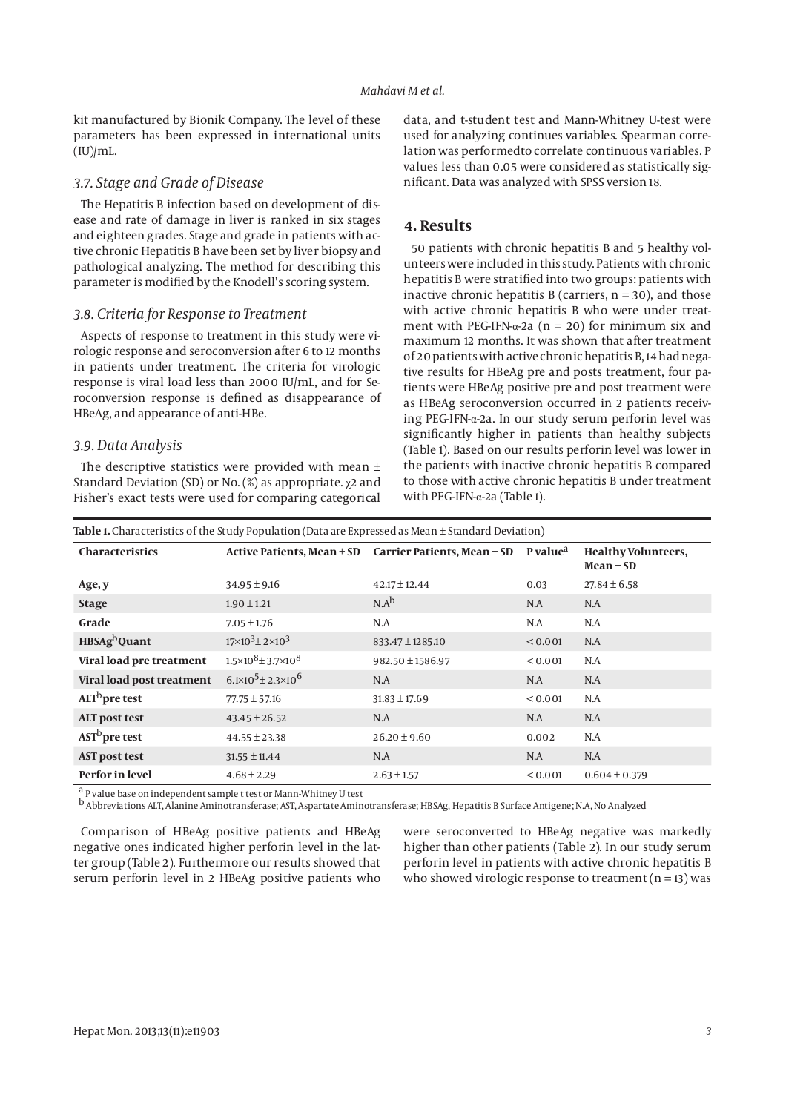kit manufactured by Bionik Company. The level of these parameters has been expressed in international units  $(IU)/mL$ .

## *3.7. Stage and Grade of Disease*

The Hepatitis B infection based on development of disease and rate of damage in liver is ranked in six stages and eighteen grades. Stage and grade in patients with active chronic Hepatitis B have been set by liver biopsy and pathological analyzing. The method for describing this parameter is modified by the Knodell's scoring system.

#### *3.8. Criteria for Response to Treatment*

Aspects of response to treatment in this study were virologic response and seroconversion after 6 to 12 months in patients under treatment. The criteria for virologic response is viral load less than 2000 IU/mL, and for Seroconversion response is defined as disappearance of HBeAg, and appearance of anti-HBe.

## *3.9. Data Analysis*

The descriptive statistics were provided with mean  $\pm$ Standard Deviation (SD) or No. (%) as appropriate. χ2 and Fisher's exact tests were used for comparing categorical data, and t-student test and Mann-Whitney U-test were used for analyzing continues variables. Spearman correlation was performedto correlate continuous variables. P values less than 0.05 were considered as statistically significant. Data was analyzed with SPSS version 18.

#### **4. Results**

50 patients with chronic hepatitis B and 5 healthy volunteers were included in this study. Patients with chronic hepatitis B were stratified into two groups: patients with inactive chronic hepatitis B (carriers,  $n = 30$ ), and those with active chronic hepatitis B who were under treatment with PEG-IFN- $\alpha$ -2a (n = 20) for minimum six and maximum 12 months. It was shown that after treatment of 20 patients with active chronic hepatitis B, 14 had negative results for HBeAg pre and posts treatment, four patients were HBeAg positive pre and post treatment were as HBeAg seroconversion occurred in 2 patients receiving PEG-IFN-α-2a. In our study serum perforin level was significantly higher in patients than healthy subjects (Table 1). Based on our results perforin level was lower in the patients with inactive chronic hepatitis B compared to those with active chronic hepatitis B under treatment with PEG-IFN-α-2a (Table 1).

| Table 1. Characteristics of the Study Population (Data are Expressed as Mean $\pm$ Standard Deviation) |                                        |                                 |                      |                                             |  |  |  |  |
|--------------------------------------------------------------------------------------------------------|----------------------------------------|---------------------------------|----------------------|---------------------------------------------|--|--|--|--|
| Characteristics                                                                                        | Active Patients, Mean $\pm$ SD         | Carrier Patients, Mean $\pm$ SD | P value <sup>a</sup> | <b>Healthy Volunteers,</b><br>$Mean \pm SD$ |  |  |  |  |
| Age, y                                                                                                 | $34.95 \pm 9.16$                       | $42.17 \pm 12.44$               | 0.03                 | $27.84 \pm 6.58$                            |  |  |  |  |
| <b>Stage</b>                                                                                           | $1.90 \pm 1.21$                        | $N.A^b$                         | N.A                  | N.A                                         |  |  |  |  |
| Grade                                                                                                  | $7.05 \pm 1.76$                        | N.A                             | N.A                  | N.A                                         |  |  |  |  |
| HBSAg <sup>b</sup> Quant                                                                               | $17\times10^{3}$ ± 2 $\times10^{3}$    | $833.47 \pm 1285.10$            | < 0.001              | N.A                                         |  |  |  |  |
| Viral load pre treatment                                                                               | $1.5\times10^{8}$ ± 3.7 $\times10^{8}$ | $982.50 \pm 1586.97$            | < 0.001              | N.A                                         |  |  |  |  |
| Viral load post treatment                                                                              | $6.1 \times 10^5 \pm 2.3 \times 10^6$  | N.A                             | N.A                  | N.A                                         |  |  |  |  |
| ALT <sup>b</sup> pre test                                                                              | $77.75 \pm 57.16$                      | $31.83 \pm 17.69$               | < 0.001              | N.A                                         |  |  |  |  |
| <b>ALT</b> post test                                                                                   | $43.45 \pm 26.52$                      | N.A                             | N.A                  | N.A                                         |  |  |  |  |
| AST <sup>b</sup> pre test                                                                              | $44.55 \pm 23.38$                      | $26.20 \pm 9.60$                | 0.002                | N.A                                         |  |  |  |  |
| <b>AST post test</b>                                                                                   | $31.55 \pm 11.44$                      | N.A                             | N.A                  | N.A                                         |  |  |  |  |
| <b>Perfor in level</b>                                                                                 | $4.68 \pm 2.29$                        | $2.63 \pm 1.57$                 | < 0.001              | $0.604 \pm 0.379$                           |  |  |  |  |

a P value base on independent sample t test or Mann-Whitney U test

b Abbreviations ALT, Alanine Aminotransferase; AST, Aspartate Aminotransferase; HBSAg, Hepatitis B Surface Antigene; N.A, No Analyzed

Comparison of HBeAg positive patients and HBeAg negative ones indicated higher perforin level in the latter group (Table 2). Furthermore our results showed that serum perforin level in 2 HBeAg positive patients who

were seroconverted to HBeAg negative was markedly higher than other patients (Table 2). In our study serum perforin level in patients with active chronic hepatitis B who showed virologic response to treatment  $(n = 13)$  was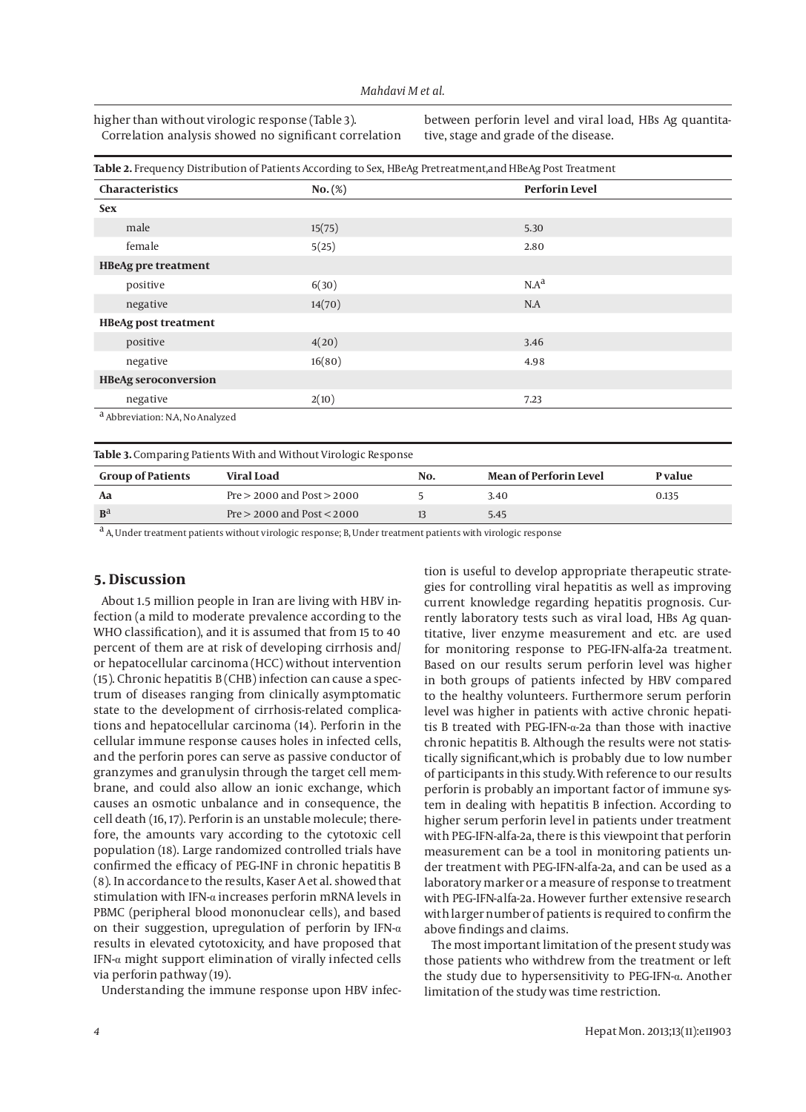higher than without virologic response (Table 3). Correlation analysis showed no significant correlation between perforin level and viral load, HBs Ag quantitative, stage and grade of the disease.

| <b>Characteristics</b>                      | $No.$ (%) | <b>Perforin Level</b> |
|---------------------------------------------|-----------|-----------------------|
| <b>Sex</b>                                  |           |                       |
| male                                        | 15(75)    | 5.30                  |
| female                                      | 5(25)     | 2.80                  |
| <b>HBeAg pre treatment</b>                  |           |                       |
| positive                                    | 6(30)     | $N.A^d$               |
| negative                                    | 14(70)    | N.A                   |
| <b>HBeAg post treatment</b>                 |           |                       |
| positive                                    | 4(20)     | 3.46                  |
| negative                                    | 16(80)    | 4.98                  |
| <b>HBeAg seroconversion</b>                 |           |                       |
| negative                                    | 2(10)     | 7.23                  |
| <sup>a</sup> Abbreviation: N.A, No Analyzed |           |                       |
|                                             |           |                       |

| <b>Group of Patients</b> | Viral Load                     | No. | <b>Mean of Perforin Level</b> | P value |  |
|--------------------------|--------------------------------|-----|-------------------------------|---------|--|
| Aa                       | $Pre > 2000$ and $Post > 2000$ |     | 3.40                          | 0.135   |  |
| B <sup>d</sup>           | $Pre > 2000$ and $Post < 2000$ |     | 5.45                          |         |  |

a A, Under treatment patients without virologic response; B, Under treatment patients with virologic response

# **5. Discussion**

About 1.5 million people in Iran are living with HBV infection (a mild to moderate prevalence according to the WHO classification), and it is assumed that from 15 to 40 percent of them are at risk of developing cirrhosis and/ or hepatocellular carcinoma (HCC) without intervention (15). Chronic hepatitis B (CHB) infection can cause a spectrum of diseases ranging from clinically asymptomatic state to the development of cirrhosis-related complications and hepatocellular carcinoma (14). Perforin in the cellular immune response causes holes in infected cells, and the perforin pores can serve as passive conductor of granzymes and granulysin through the target cell membrane, and could also allow an ionic exchange, which causes an osmotic unbalance and in consequence, the cell death (16, 17). Perforin is an unstable molecule; therefore, the amounts vary according to the cytotoxic cell population (18). Large randomized controlled trials have confirmed the efficacy of PEG-INF in chronic hepatitis B (8). In accordance to the results, Kaser A et al. showed that stimulation with IFN-α increases perforin mRNA levels in PBMC (peripheral blood mononuclear cells), and based on their suggestion, upregulation of perforin by IFN-α results in elevated cytotoxicity, and have proposed that IFN-α might support elimination of virally infected cells via perforin pathway (19).

Understanding the immune response upon HBV infec-

tion is useful to develop appropriate therapeutic strategies for controlling viral hepatitis as well as improving current knowledge regarding hepatitis prognosis. Currently laboratory tests such as viral load, HBs Ag quantitative, liver enzyme measurement and etc. are used for monitoring response to PEG-IFN-alfa-2a treatment. Based on our results serum perforin level was higher in both groups of patients infected by HBV compared to the healthy volunteers. Furthermore serum perforin level was higher in patients with active chronic hepatitis B treated with PEG-IFN-α-2a than those with inactive chronic hepatitis B. Although the results were not statistically significant,which is probably due to low number of participants in this study. With reference to our results perforin is probably an important factor of immune system in dealing with hepatitis B infection. According to higher serum perforin level in patients under treatment with PEG-IFN-alfa-2a, there is this viewpoint that perforin measurement can be a tool in monitoring patients under treatment with PEG-IFN-alfa-2a, and can be used as a laboratory marker or a measure of response to treatment with PEG-IFN-alfa-2a. However further extensive research with larger number of patients is required to confirm the above findings and claims.

The most important limitation of the present study was those patients who withdrew from the treatment or left the study due to hypersensitivity to PEG-IFN-α. Another limitation of the study was time restriction.